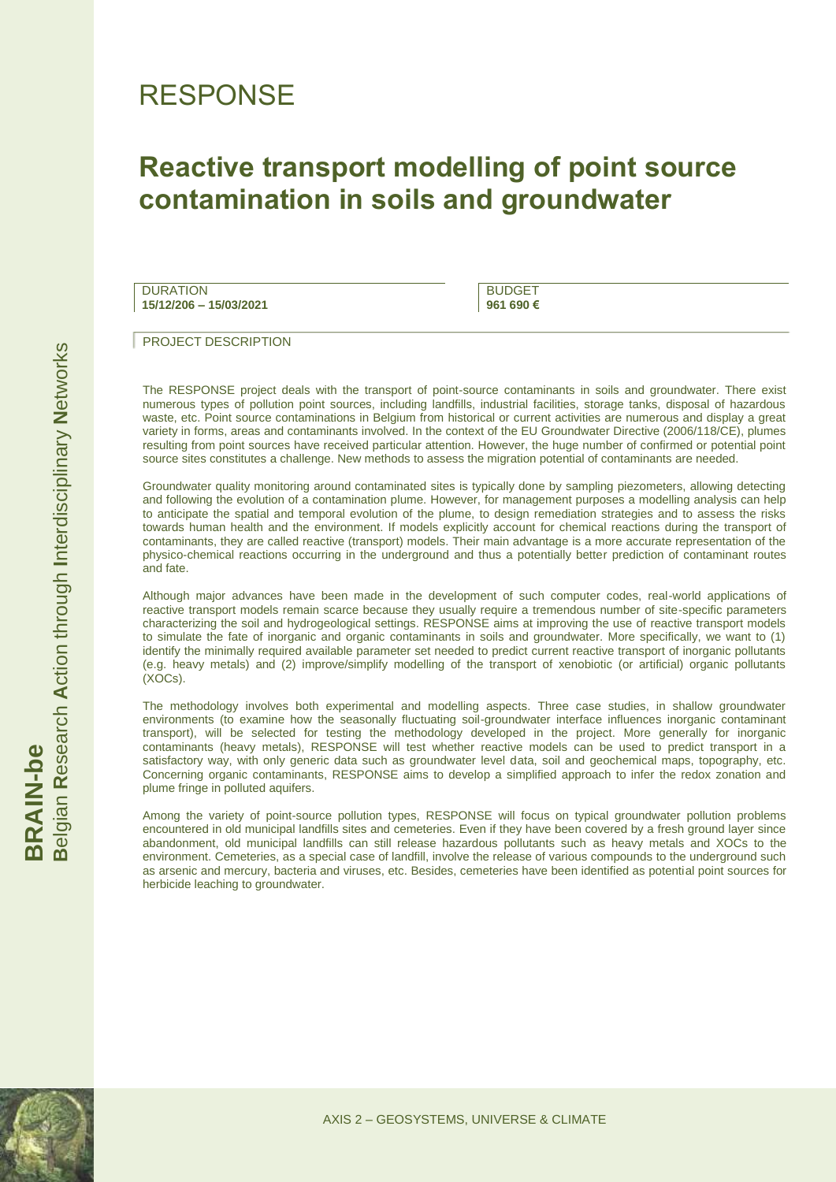## RESPONSE

## **Reactive transport modelling of point source contamination in soils and groundwater**

**DURATION 15/12/206 – 15/03/2021**

BUDGET **961 690 €**

PROJECT DESCRIPTION

The RESPONSE project deals with the transport of point-source contaminants in soils and groundwater. There exist numerous types of pollution point sources, including landfills, industrial facilities, storage tanks, disposal of hazardous waste, etc. Point source contaminations in Belgium from historical or current activities are numerous and display a great variety in forms, areas and contaminants involved. In the context of the EU Groundwater Directive (2006/118/CE), plumes resulting from point sources have received particular attention. However, the huge number of confirmed or potential point source sites constitutes a challenge. New methods to assess the migration potential of contaminants are needed.

Groundwater quality monitoring around contaminated sites is typically done by sampling piezometers, allowing detecting and following the evolution of a contamination plume. However, for management purposes a modelling analysis can help to anticipate the spatial and temporal evolution of the plume, to design remediation strategies and to assess the risks towards human health and the environment. If models explicitly account for chemical reactions during the transport of contaminants, they are called reactive (transport) models. Their main advantage is a more accurate representation of the physico-chemical reactions occurring in the underground and thus a potentially better prediction of contaminant routes and fate.

Although major advances have been made in the development of such computer codes, real-world applications of reactive transport models remain scarce because they usually require a tremendous number of site-specific parameters characterizing the soil and hydrogeological settings. RESPONSE aims at improving the use of reactive transport models to simulate the fate of inorganic and organic contaminants in soils and groundwater. More specifically, we want to (1) identify the minimally required available parameter set needed to predict current reactive transport of inorganic pollutants (e.g. heavy metals) and (2) improve/simplify modelling of the transport of xenobiotic (or artificial) organic pollutants (XOCs).

The methodology involves both experimental and modelling aspects. Three case studies, in shallow groundwater environments (to examine how the seasonally fluctuating soil-groundwater interface influences inorganic contaminant transport), will be selected for testing the methodology developed in the project. More generally for inorganic contaminants (heavy metals), RESPONSE will test whether reactive models can be used to predict transport in a satisfactory way, with only generic data such as groundwater level data, soil and geochemical maps, topography, etc. Concerning organic contaminants, RESPONSE aims to develop a simplified approach to infer the redox zonation and plume fringe in polluted aquifers.

Among the variety of point-source pollution types, RESPONSE will focus on typical groundwater pollution problems encountered in old municipal landfills sites and cemeteries. Even if they have been covered by a fresh ground layer since abandonment, old municipal landfills can still release hazardous pollutants such as heavy metals and XOCs to the environment. Cemeteries, as a special case of landfill, involve the release of various compounds to the underground such as arsenic and mercury, bacteria and viruses, etc. Besides, cemeteries have been identified as potential point sources for herbicide leaching to groundwater.